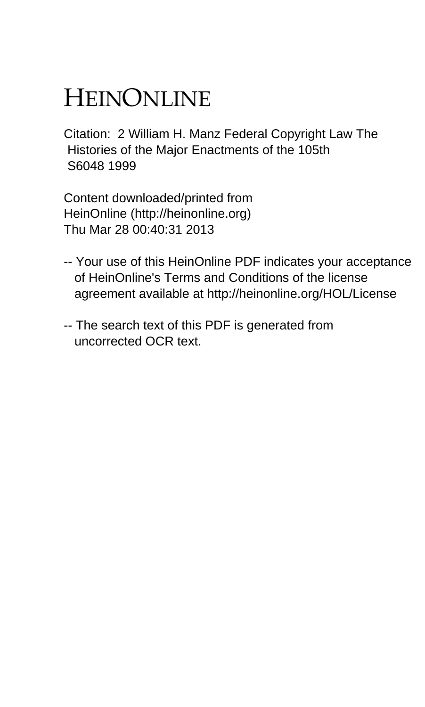# HEINONLINE

Citation: 2 William H. Manz Federal Copyright Law The Histories of the Major Enactments of the 105th S6048 1999

Content downloaded/printed from HeinOnline (http://heinonline.org) Thu Mar 28 00:40:31 2013

- -- Your use of this HeinOnline PDF indicates your acceptance of HeinOnline's Terms and Conditions of the license agreement available at http://heinonline.org/HOL/License
- -- The search text of this PDF is generated from uncorrected OCR text.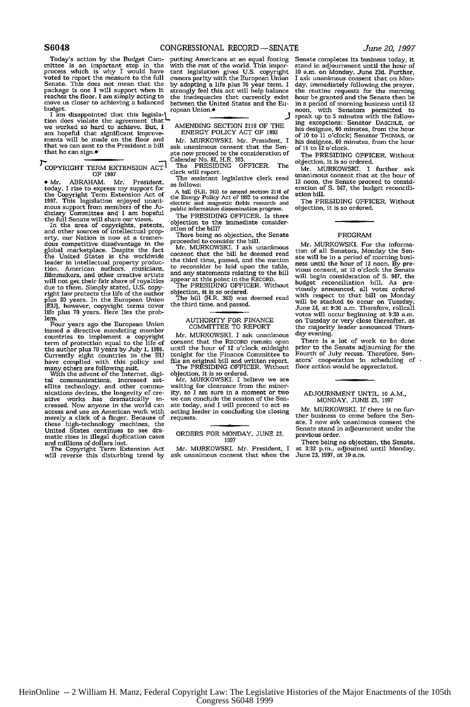**S6048 CONGRESSIONAL** RECORD **-SENATE**

tion does violate the agreement that we worked so hard to achieve. But, I AMENDING SECTION 2118 OF THE am hopeful that signed that significant improve-<br> $\frac{1}{2}$  AMENDING SECTION 2118 OF 1992<br>am hopeful that significant improve- ENERGY POLICY ACT OF 1992<br>ments will be made on the floor and  $\frac{1}{2}$  MERGWSKY. Mr. President ments will be made on the floor and Mr. MURKOWSKI. Mr. President, I that we can sent to the President a bill ask unanimous consent that the Sen-<br>that we can sign.\* ate now proceed to the consideration of

COPYRIGHT TERM EXTENSION  $ACT$ <sup>1</sup> The PRESIDIC OF 1997

• Mr. ABRAHAM. The assistant legislative clerk read<br>today, I rise to express my support for a bill (H.R. 363) to amend section 2118 of<br>the Copyright Term Extension Act of the Energy Policy Act of 1992 to extend the<br>1997.

In the area of copyrights, patents, objection to the immediate consider-<br>and other sources of intellectual prop- ation of the bill?<br>erry our Nation is now at a tremenerty, our Nation is now at a tremen-<br>dous competitive disadvantage in the doubled marketplace. Despite the fact Mr. MURKOWSKI. I ask unanimous<br>global marketplace. Despite the fact Mr. MURKOWSKI. I ask unanimous<br>the United States is the worldwide consent that the bill be deemed reader<br>tion, Ameri filmmakers, and other creative artists<br>will not get their fair share of royalties What is the HRESIDING OFFICER. Without<br>hight law protects the life of the author objection, it is so ordered.<br>plus 50 years. In the European Union the bill (H.R. 363) was deemed read FEU), however, copyright terms cover the third time, and passed.<br>
IEU), however, copyright terms cover the third time, and passed.<br>
Four years ago the European Union AUTHORITY FOR FINANCE<br>
Four years ago the European Union

issued a directive mandating member<br>countries to implement a copyright Mr. MURKOWSKI. I ask unanimous<br>term of protection equal to the life of Consent that the RECORD remain open commutes to imposing the depth of consent that the RECORD remain open<br>term of protection equal to the life of consent the author plus 70 clock midnight<br>Currently eight countries in the EU tonight for the Finance Committee

"With the advent of the Internet, digi-<br>objection, it is so ordered.<br>He advent of the Internet, digi-<br>objection, increased sat-<br>MCNOSNSKI. I believe we are<br>ellite technology, and other communicating for clearance from the merely a click of a finger. Because of requests.<br>these high-technology machines, the<br>United States continues to see dra-<br>United States continues to see dra-<br>matic rises in illegal duplication cases<br>and millions of dollars

Today's action by the Budget Com-<br>putting Americans at an equal footing mittee is an important step in the with the rest of the world. This important<br>process which is why I would have tant legislation gives U.S. copyright

**I-Calendar No. 82, H.R. 363.**<br>The PRESIDING OFFICER. The

proceeded to consider the bill.<br>Mr. MURKOWSKI. I ask unanimous

filmmakers, and the motion to reconsider be laid upon the table, and any statements relating to the bill appear at this point in the RECORD. The PRESIDING OFFICER. Without

the author plus 70 years by July 1, 1993. until the notation car complied with this policy and file an original bill and written report.<br>The PESSIDING OFFICER. Without many others are following suit.<br>The PRESIDING OFFICER.

The Copyright Term Extension Act Mr. MURKOWSKI. Mr. President, I will reverse this disturbing trend by ask unanimous consent that when the

Senate completes its business today, it stand in adjournment until the hour of 10 a.m. on Monday, June 23d. Further, I ask unanimous consent that on Monday, immediately following the prayer,<br>the routine requests for the morning<br>hour be granted and the Senate then be in a period of morning business until 12<br>noon, with Senators permitted to<br>speak up to 5 minutes with the follow-Figure are in an american control and the state of the best<br>player and the best of 10 to 11 o'clock; Senator THOMAS, or his designee, 60 minutes, from the hour<br>his designee, 60 minutes, from the hour<br>of 11 to 12 o'clock.

The PRESIDING OFFICER. Without objection, it is so ordered.

Mr. MURKOWSKI. I further ask unanimous consent that at the hour of 12 noon, the Senate proceed to consideration of S. 947, the budget reconcili-<br>ation bill.

The PRESIDING OFFICER. Without objection, it is so ordered.

### PROGRAM

Mr. MURKOWSKI. For the informa-<br>tion of all Senators, Monday the Sen-<br>ate will be in a period of morning busiate will be in a period of morning busi- ness until the hour of 12 noon. By pre- vious consent, at 12 o'clock the Senate will begin consideration of S. 947, the<br>budget reconciliation bill. As pre-<br>viously announced, all votes or<br>derective viously announced, all votes or<br>derective will be stacked to occur on Tuesday<br>Viume 24, at 9:30 a.m. The

There is a lot of work to be done<br>There is a lot of work to be done<br>prior to the Senate adjourning for the<br>Fourth of July recess. Therefore, Senators' cooperation in scheduling of floor action would be appreciated.

## ADJOURNMENT UNTIL **10** A.M., MONDAY, **JUNE 23,** <sup>1997</sup>

Mr. MURKOWSKI. If there is no fur- ther business to come before the Senate, I now ask unanimous consent the Senate stand in adjournment under the previous order.

There being no objection, the Senate, at 3:32 p.m., adjourned until Monday, June *23,* **1997,** at **10** a.m.